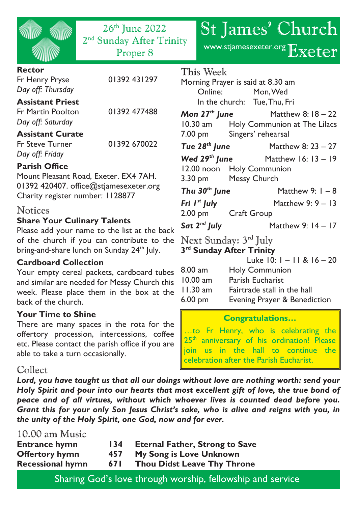| 26 <sup>th</sup> June 2022<br>2 <sup>nd</sup> Sunday After Trinity<br>Proper 8                                                                                                                                                                                                                                                                                                                                                                                                                                                       | St James' Church<br>www.stjamesexeter.org Exeter                                                                                                                                                                                                                                 |  |
|--------------------------------------------------------------------------------------------------------------------------------------------------------------------------------------------------------------------------------------------------------------------------------------------------------------------------------------------------------------------------------------------------------------------------------------------------------------------------------------------------------------------------------------|----------------------------------------------------------------------------------------------------------------------------------------------------------------------------------------------------------------------------------------------------------------------------------|--|
| Rector<br>01392 431297<br>Fr Henry Pryse<br>Day off: Thursday                                                                                                                                                                                                                                                                                                                                                                                                                                                                        | This Week<br>Morning Prayer is said at 8.30 am<br>Online:<br>Mon, Wed                                                                                                                                                                                                            |  |
| <b>Assistant Priest</b><br>01392 477488<br><b>Fr Martin Poolton</b><br>Day off: Saturday                                                                                                                                                                                                                                                                                                                                                                                                                                             | In the church: Tue, Thu, Fri<br>Mon 27th June<br>Matthew 8: $18 - 22$<br>10.30 am Holy Communion at The Lilacs                                                                                                                                                                   |  |
| <b>Assistant Curate</b><br><b>Fr Steve Turner</b><br>01392 670022<br>Day off: Friday<br><b>Parish Office</b>                                                                                                                                                                                                                                                                                                                                                                                                                         | 7.00 pm<br>Singers' rehearsal<br>Tue 28 <sup>th</sup> June<br>Matthew 8: 23 - 27<br>Wed $29th$ June Matthew 16: 13 - 19<br>12.00 noon Holy Communion                                                                                                                             |  |
| Mount Pleasant Road, Exeter. EX4 7AH.<br>01392 420407. office@stjamesexeter.org<br>Charity register number: 1128877<br><b>Notices</b><br><b>Share Your Culinary Talents</b><br>Please add your name to the list at the back<br>of the church if you can contribute to the<br>bring-and-share lunch on Sunday 24 <sup>th</sup> July.<br><b>Cardboard Collection</b><br>Your empty cereal packets, cardboard tubes<br>and similar are needed for Messy Church this<br>week. Please place them in the box at the<br>back of the church. | Messy Church<br>$3.30 \text{ pm}$<br>Thu 30 <sup>th</sup> June<br>Matthew $9: 1 - 8$<br>Matthew 9: 9 - 13                                                                                                                                                                        |  |
|                                                                                                                                                                                                                                                                                                                                                                                                                                                                                                                                      | Fri $Ist$ July<br>2.00 pm Craft Group<br>Sat 2 <sup>nd</sup> July<br>Matthew $9: 14 - 17$                                                                                                                                                                                        |  |
|                                                                                                                                                                                                                                                                                                                                                                                                                                                                                                                                      | Next Sunday: 3 <sup>rd</sup> July<br>3rd Sunday After Trinity<br>Luke $10: 1 - 11 & 8 \t16 - 20$<br>$8.00 \text{ am}$<br><b>Holy Communion</b><br>$10.00$ am<br>Parish Eucharist<br>11.30 am<br>Fairtrade stall in the hall<br>$6.00 \text{ pm}$<br>Evening Prayer & Benediction |  |
| <b>Your Time to Shine</b><br>There are many spaces in the rota for the<br>offertory procession, intercessions, coffee<br>etc. Please contact the parish office if you are<br>able to take a turn occasionally.                                                                                                                                                                                                                                                                                                                       | <b>Congratulations</b><br>to Fr Henry, who is celebrating the<br>25 <sup>th</sup> anniversary of his ordination! Please<br>join us in the hall to continue<br>the                                                                                                                |  |
| celebration after the Parish Eucharist.<br>Collect<br>Lord, you have taught us that all our doings without love are nothing worth: send your<br>Holy Spirit and pour into our hearts that most excellent gift of love, the true bond of<br>peace and of all virtues, without which whoever lives is counted dead before you.<br>Grant this for your only Son Jesus Christ's sake, who is alive and reigns with you, in<br>the unity of the Holy Spirit, one God, now and for ever.                                                   |                                                                                                                                                                                                                                                                                  |  |

# 10.00 am Music

| <b>Entrance hymn</b>    | 134  | <b>Eternal Father, Strong to Save</b> |
|-------------------------|------|---------------------------------------|
| <b>Offertory hymn</b>   | 457  | My Song is Love Unknown               |
| <b>Recessional hymn</b> | 67 I | Thou Didst Leave Thy Throne           |

Sharing God's love through worship, fellowship and service